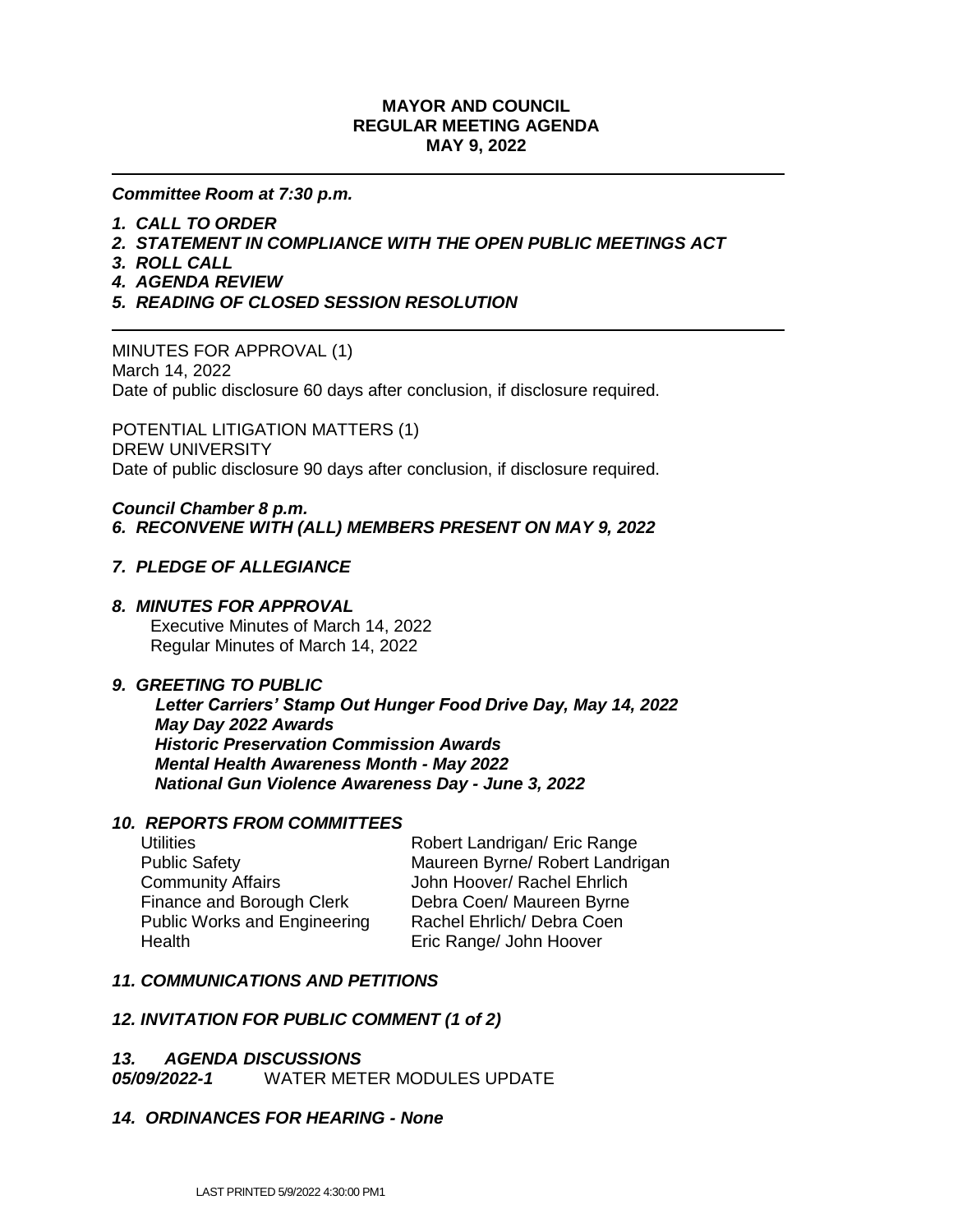## **MAYOR AND COUNCIL REGULAR MEETING AGENDA MAY 9, 2022**

#### *Committee Room at 7:30 p.m.*

- *1. CALL TO ORDER*
- *2. STATEMENT IN COMPLIANCE WITH THE OPEN PUBLIC MEETINGS ACT*
- *3. ROLL CALL*
- *4. AGENDA REVIEW*
- *5. READING OF CLOSED SESSION RESOLUTION*

MINUTES FOR APPROVAL (1) March 14, 2022 Date of public disclosure 60 days after conclusion, if disclosure required.

POTENTIAL LITIGATION MATTERS (1) DREW UNIVERSITY Date of public disclosure 90 days after conclusion, if disclosure required.

#### *Council Chamber 8 p.m. 6. RECONVENE WITH (ALL) MEMBERS PRESENT ON MAY 9, 2022*

## *7. PLEDGE OF ALLEGIANCE*

#### *8. MINUTES FOR APPROVAL*

 Executive Minutes of March 14, 2022 Regular Minutes of March 14, 2022

#### *9. GREETING TO PUBLIC*

 *Letter Carriers' Stamp Out Hunger Food Drive Day, May 14, 2022 May Day 2022 Awards Historic Preservation Commission Awards Mental Health Awareness Month - May 2022 National Gun Violence Awareness Day - June 3, 2022*

#### *10. REPORTS FROM COMMITTEES*

Community Affairs **Community Affairs** John Hoover/ Rachel Ehrlich Finance and Borough Clerk Debra Coen/ Maureen Byrne Public Works and Engineering Rachel Ehrlich/ Debra Coen Health **Eric Range/ John Hoover** 

Utilities **Notify Contract Contract Contract Contract Contract Contract Contract Contract Contract Contract Contract Contract Contract Contract Contract Contract Contract Contract Contract Contract Contract Contract Contra** Public Safety Maureen Byrne/ Robert Landrigan

#### *11. COMMUNICATIONS AND PETITIONS*

### *12. INVITATION FOR PUBLIC COMMENT (1 of 2)*

#### *13. AGENDA DISCUSSIONS*

*05/09/2022-1*WATER METER MODULES UPDATE

#### *14. ORDINANCES FOR HEARING - None*